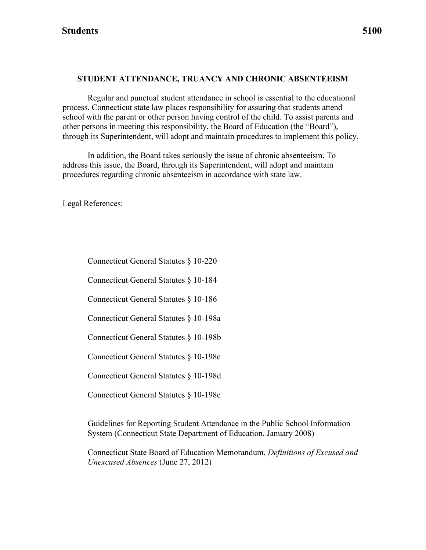#### **STUDENT ATTENDANCE, TRUANCY AND CHRONIC ABSENTEEISM**

Regular and punctual student attendance in school is essential to the educational process. Connecticut state law places responsibility for assuring that students attend school with the parent or other person having control of the child. To assist parents and other persons in meeting this responsibility, the Board of Education (the "Board"), through its Superintendent, will adopt and maintain procedures to implement this policy.

In addition, the Board takes seriously the issue of chronic absenteeism. To address this issue, the Board, through its Superintendent, will adopt and maintain procedures regarding chronic absenteeism in accordance with state law.

Legal References:

Connecticut General Statutes § 10-220

Connecticut General Statutes § 10-184

Connecticut General Statutes § 10-186

Connecticut General Statutes § 10-198a

Connecticut General Statutes § 10-198b

Connecticut General Statutes § 10-198c

Connecticut General Statutes § 10-198d

Connecticut General Statutes § 10-198e

Guidelines for Reporting Student Attendance in the Public School Information System (Connecticut State Department of Education, January 2008)

Connecticut State Board of Education Memorandum, *Definitions of Excused and Unexcused Absences* (June 27, 2012)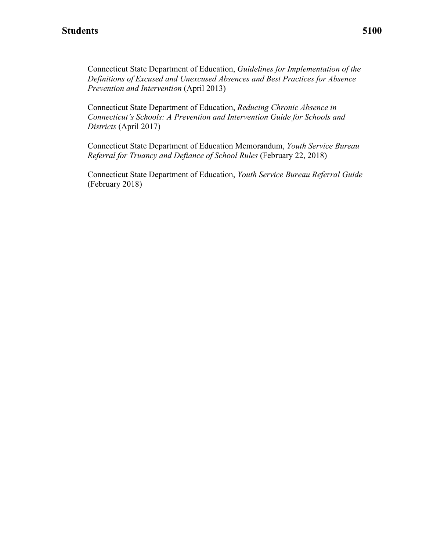Connecticut State Department of Education, *Guidelines for Implementation of the Definitions of Excused and Unexcused Absences and Best Practices for Absence Prevention and Intervention* (April 2013)

Connecticut State Department of Education, *Reducing Chronic Absence in Connecticut's Schools: A Prevention and Intervention Guide for Schools and Districts* (April 2017)

Connecticut State Department of Education Memorandum, *Youth Service Bureau Referral for Truancy and Defiance of School Rules* (February 22, 2018)

 Connecticut State Department of Education, *Youth Service Bureau Referral Guide*  (February 2018)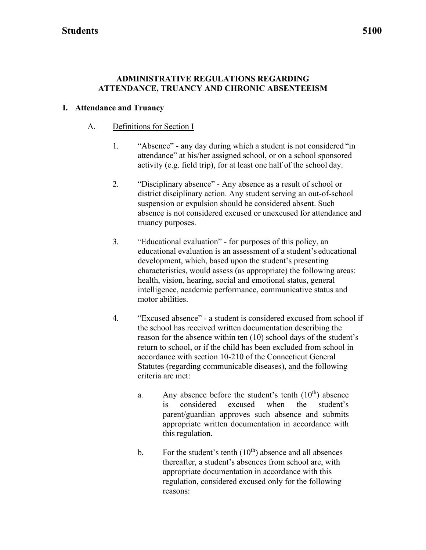#### **ADMINISTRATIVE REGULATIONS REGARDING ATTENDANCE, TRUANCY AND CHRONIC ABSENTEEISM**

#### **I. Attendance and Truancy**

#### A. Definitions for Section I

- activity (e.g. field trip), for at least one half of the school day. 1. "Absence" - any day during which a student is not considered "in attendance" at his/her assigned school, or on a school sponsored
- truancy purposes. 2. "Disciplinary absence" - Any absence as a result of school or district disciplinary action. Any student serving an out-of-school suspension or expulsion should be considered absent. Such absence is not considered excused or unexcused for attendance and
- educational evaluation is an assessment of a student's educational motor abilities. 3. "Educational evaluation" - for purposes of this policy, an development, which, based upon the student's presenting characteristics, would assess (as appropriate) the following areas: health, vision, hearing, social and emotional status, general intelligence, academic performance, communicative status and
- criteria are met: 4. "Excused absence" - a student is considered excused from school if the school has received written documentation describing the reason for the absence within ten (10) school days of the student's return to school, or if the child has been excluded from school in accordance with section 10-210 of the Connecticut General Statutes (regarding communicable diseases), and the following
	- this regulation. a. Any absence before the student's tenth  $(10<sup>th</sup>)$  absence is considered excused when the student's parent/guardian approves such absence and submits appropriate written documentation in accordance with
	- appropriate documentation in accordance with this b. For the student's tenth  $(10<sup>th</sup>)$  absence and all absences thereafter, a student's absences from school are, with regulation, considered excused only for the following reasons: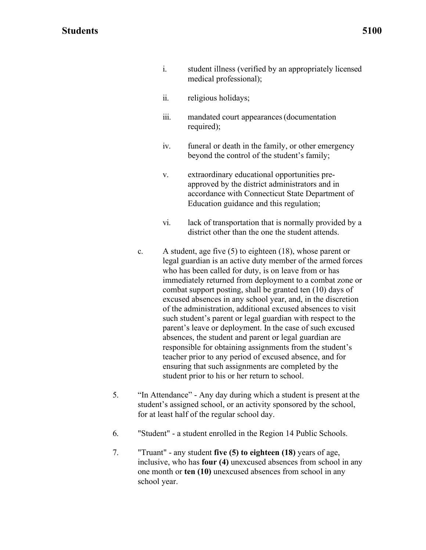- i. student illness (verified by an appropriately licensed medical professional);
- ii. religious holidays;
- iii. mandated court appearances (documentation required);
- beyond the control of the student's family; iv. funeral or death in the family, or other emergency
- Education guidance and this regulation; v. extraordinary educational opportunities preapproved by the district administrators and in accordance with Connecticut State Department of
- district other than the one the student attends. vi. lack of transportation that is normally provided by a
- who has been called for duty, is on leave from or has combat support posting, shall be granted ten (10) days of parent's leave or deployment. In the case of such excused student prior to his or her return to school. c. A student, age five (5) to eighteen (18), whose parent or legal guardian is an active duty member of the armed forces immediately returned from deployment to a combat zone or excused absences in any school year, and, in the discretion of the administration, additional excused absences to visit such student's parent or legal guardian with respect to the absences, the student and parent or legal guardian are responsible for obtaining assignments from the student's teacher prior to any period of excused absence, and for ensuring that such assignments are completed by the
- for at least half of the regular school day. 5. "In Attendance" - Any day during which a student is present at the student's assigned school, or an activity sponsored by the school,
- 6. "Student" a student enrolled in the Region 14 Public Schools.
- 7. "Truant" any student **five (5) to eighteen (18)** years of age, school year. inclusive, who has **four (4)** unexcused absences from school in any one month or **ten (10)** unexcused absences from school in any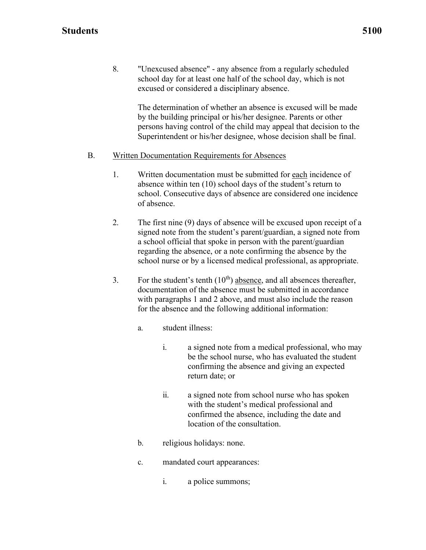8. "Unexcused absence" - any absence from a regularly scheduled excused or considered a disciplinary absence. school day for at least one half of the school day, which is not

> The determination of whether an absence is excused will be made by the building principal or his/her designee. Parents or other persons having control of the child may appeal that decision to the Superintendent or his/her designee, whose decision shall be final.

#### B. Written Documentation Requirements for Absences

- 1. Written documentation must be submitted for each incidence of of absence. absence within ten (10) school days of the student's return to school. Consecutive days of absence are considered one incidence
- 2. The first nine (9) days of absence will be excused upon receipt of a school nurse or by a licensed medical professional, as appropriate. signed note from the student's parent/guardian, a signed note from a school official that spoke in person with the parent/guardian regarding the absence, or a note confirming the absence by the
- for the absence and the following additional information: 3. For the student's tenth  $(10<sup>th</sup>)$  absence, and all absences thereafter, documentation of the absence must be submitted in accordance with paragraphs 1 and 2 above, and must also include the reason
	- a. student illness:
		- return date; or i. a signed note from a medical professional, who may be the school nurse, who has evaluated the student confirming the absence and giving an expected
		- ii. a signed note from school nurse who has spoken with the student's medical professional and confirmed the absence, including the date and location of the consultation.
	- b. religious holidays: none.
	- c. mandated court appearances:
		- i. a police summons;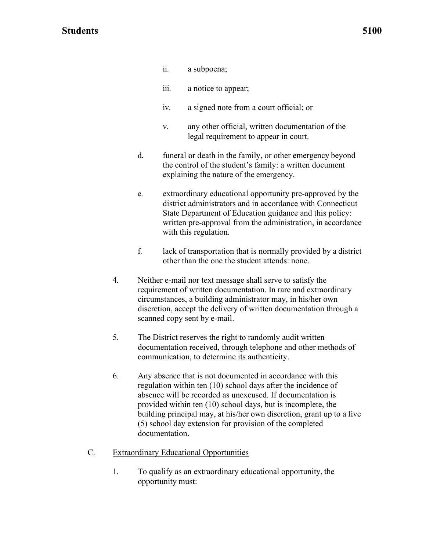- ii. a subpoena;
- iii. a notice to appear;
- iv. a signed note from a court official; or
- legal requirement to appear in court. v. any other official, written documentation of the
- explaining the nature of the emergency. d. funeral or death in the family, or other emergency beyond the control of the student's family: a written document
- with this regulation. e. extraordinary educational opportunity pre-approved by the district administrators and in accordance with Connecticut State Department of Education guidance and this policy: written pre-approval from the administration, in accordance
- other than the one the student attends: none. f. lack of transportation that is normally provided by a district
- scanned copy sent by e-mail. 4. Neither e-mail nor text message shall serve to satisfy the requirement of written documentation. In rare and extraordinary circumstances, a building administrator may, in his/her own discretion, accept the delivery of written documentation through a
- communication, to determine its authenticity. 5. The District reserves the right to randomly audit written documentation received, through telephone and other methods of
- building principal may, at his/her own discretion, grant up to a five 6. Any absence that is not documented in accordance with this regulation within ten (10) school days after the incidence of absence will be recorded as unexcused. If documentation is provided within ten (10) school days, but is incomplete, the (5) school day extension for provision of the completed documentation.

#### C. Extraordinary Educational Opportunities

 opportunity must: 1. To qualify as an extraordinary educational opportunity, the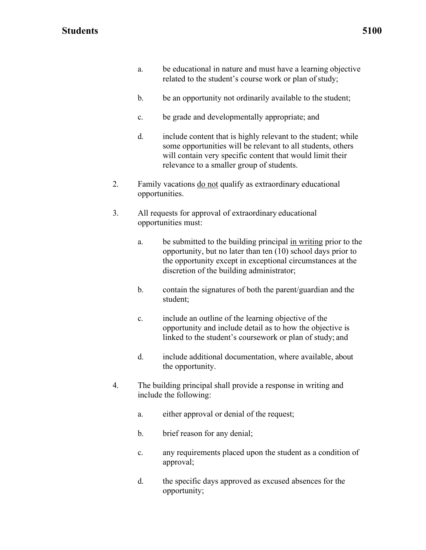- related to the student's course work or plan of study; a. be educational in nature and must have a learning objective
- b. be an opportunity not ordinarily available to the student;
- c. be grade and developmentally appropriate; and
- relevance to a smaller group of students. d. include content that is highly relevant to the student; while some opportunities will be relevant to all students, others will contain very specific content that would limit their
- 2. Family vacations do not qualify as extraordinary educational opportunities.
- 3. All requests for approval of extraordinary educational opportunities must:
	- a. be submitted to the building principal in writing prior to the opportunity, but no later than ten (10) school days prior to the opportunity except in exceptional circumstances at the discretion of the building administrator;
	- b. contain the signatures of both the parent/guardian and the student;
	- linked to the student's coursework or plan of study; and c. include an outline of the learning objective of the opportunity and include detail as to how the objective is
	- the opportunity. d. include additional documentation, where available, about
- include the following: 4. The building principal shall provide a response in writing and
	- a. either approval or denial of the request;
	- b. brief reason for any denial;
	- c. any requirements placed upon the student as a condition of approval;
	- d. the specific days approved as excused absences for the opportunity;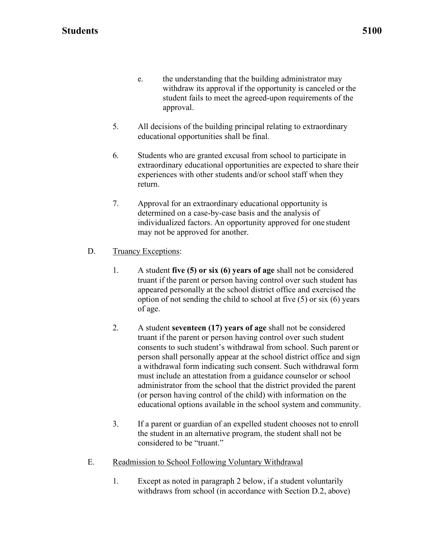- e. the understanding that the building administrator may withdraw its approval if the opportunity is canceled or the student fails to meet the agreed-upon requirements of the approval.
- educational opportunities shall be final. 5. All decisions of the building principal relating to extraordinary
- 6. Students who are granted excusal from school to participate in extraordinary educational opportunities are expected to share their experiences with other students and/or school staff when they return.
- individualized factors. An opportunity approved for one student may not be approved for another. 7. Approval for an extraordinary educational opportunity is determined on a case-by-case basis and the analysis of
- D. Truancy Exceptions:
	- of age. 1. A student **five (5) or six (6) years of age** shall not be considered truant if the parent or person having control over such student has appeared personally at the school district office and exercised the option of not sending the child to school at five  $(5)$  or six  $(6)$  years
	- educational options available in the school system and community. 2. A student **seventeen (17) years of age** shall not be considered truant if the parent or person having control over such student consents to such student's withdrawal from school. Such parent or person shall personally appear at the school district office and sign a withdrawal form indicating such consent. Such withdrawal form must include an attestation from a guidance counselor or school administrator from the school that the district provided the parent (or person having control of the child) with information on the
	- 3. If a parent or guardian of an expelled student chooses not to enroll considered to be "truant." the student in an alternative program, the student shall not be
- E. Readmission to School Following Voluntary Withdrawal
	- withdraws from school (in accordance with Section D.2, above) 1. Except as noted in paragraph 2 below, if a student voluntarily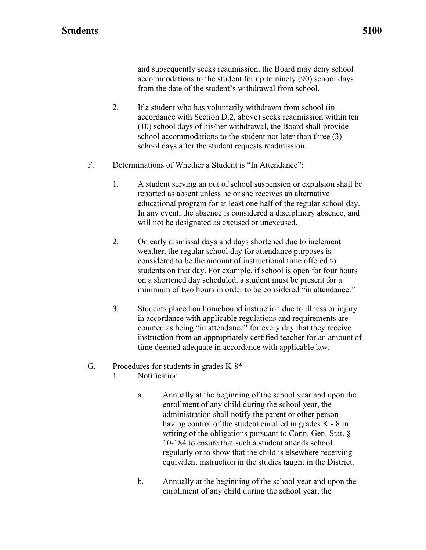and subsequently seeks readmission, the Board may deny school accommodations to the student for up to ninety (90) school days from the date of the student's withdrawal from school.

 accordance with Section D.2, above) seeks readmission within ten 2. If a student who has voluntarily withdrawn from school (in (10) school days of his/her withdrawal, the Board shall provide school accommodations to the student not later than three (3) school days after the student requests readmission.

#### F. Determinations of Whether a Student is "In Attendance":

- In any event, the absence is considered a disciplinary absence, and will not be designated as excused or unexcused. 1. A student serving an out of school suspension or expulsion shall be reported as absent unless he or she receives an alternative educational program for at least one half of the regular school day.
- on a shortened day scheduled, a student must be present for a minimum of two hours in order to be considered "in attendance." 2. On early dismissal days and days shortened due to inclement weather, the regular school day for attendance purposes is considered to be the amount of instructional time offered to students on that day. For example, if school is open for four hours
- time deemed adequate in accordance with applicable law. 3. Students placed on homebound instruction due to illness or injury in accordance with applicable regulations and requirements are counted as being "in attendance" for every day that they receive instruction from an appropriately certified teacher for an amount of

#### G. Procedures for students in grades  $K-8^*$

- 1. Notification
	- having control of the student enrolled in grades K 8 in equivalent instruction in the studies taught in the District. a. Annually at the beginning of the school year and upon the enrollment of any child during the school year, the administration shall notify the parent or other person writing of the obligations pursuant to Conn. Gen. Stat. § 10-184 to ensure that such a student attends school regularly or to show that the child is elsewhere receiving
	- enrollment of any child during the school year, the b. Annually at the beginning of the school year and upon the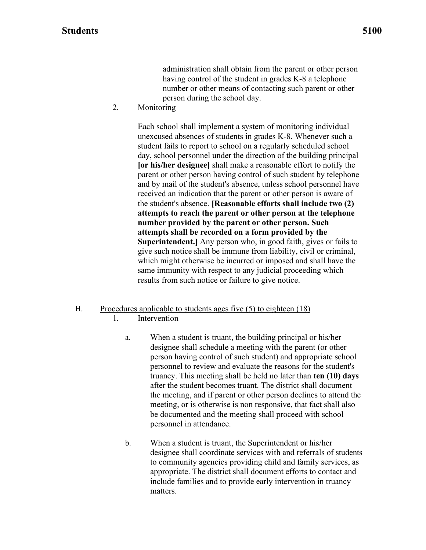number or other means of contacting such parent or other person during the school day. administration shall obtain from the parent or other person having control of the student in grades K-8 a telephone

2. Monitoring

 parent or other person having control of such student by telephone Each school shall implement a system of monitoring individual unexcused absences of students in grades K-8. Whenever such a student fails to report to school on a regularly scheduled school day, school personnel under the direction of the building principal **[or his/her designee]** shall make a reasonable effort to notify the and by mail of the student's absence, unless school personnel have received an indication that the parent or other person is aware of the student's absence. **[Reasonable efforts shall include two (2) attempts to reach the parent or other person at the telephone number provided by the parent or other person. Such attempts shall be recorded on a form provided by the Superintendent.]** Any person who, in good faith, gives or fails to give such notice shall be immune from liability, civil or criminal, which might otherwise be incurred or imposed and shall have the same immunity with respect to any judicial proceeding which results from such notice or failure to give notice.

#### H. Procedures applicable to students ages five (5) to eighteen (18)

- 1. Intervention
	- designee shall schedule a meeting with the parent (or other personnel to review and evaluate the reasons for the student's personnel in attendance. a. When a student is truant, the building principal or his/her person having control of such student) and appropriate school truancy. This meeting shall be held no later than **ten (10) days**  after the student becomes truant. The district shall document the meeting, and if parent or other person declines to attend the meeting, or is otherwise is non responsive, that fact shall also be documented and the meeting shall proceed with school
	- designee shall coordinate services with and referrals of students b. When a student is truant, the Superintendent or his/her to community agencies providing child and family services, as appropriate. The district shall document efforts to contact and include families and to provide early intervention in truancy matters.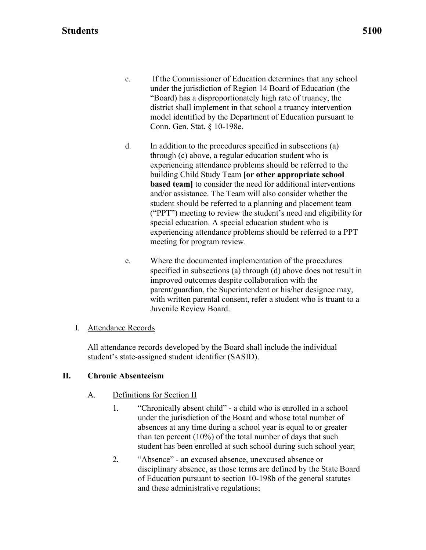- c. If the Commissioner of Education determines that any school under the jurisdiction of Region 14 Board of Education (the "Board) has a disproportionately high rate of truancy, the Conn. Gen. Stat. § 10-198e. district shall implement in that school a truancy intervention model identified by the Department of Education pursuant to
- meeting for program review. d. In addition to the procedures specified in subsections (a) through (c) above, a regular education student who is experiencing attendance problems should be referred to the building Child Study Team **[or other appropriate school based team]** to consider the need for additional interventions and/or assistance. The Team will also consider whether the student should be referred to a planning and placement team ("PPT") meeting to review the student's need and eligibility for special education. A special education student who is experiencing attendance problems should be referred to a PPT
- with written parental consent, refer a student who is truant to a e. Where the documented implementation of the procedures specified in subsections (a) through (d) above does not result in improved outcomes despite collaboration with the parent/guardian, the Superintendent or his/her designee may, Juvenile Review Board.

#### I. Attendance Records

All attendance records developed by the Board shall include the individual student's state-assigned student identifier (SASID).

#### **II. Chronic Absenteeism**

#### A. Definitions for Section II

- absences at any time during a school year is equal to or greater student has been enrolled at such school during such school year; 1. "Chronically absent child" - a child who is enrolled in a school under the jurisdiction of the Board and whose total number of than ten percent (10%) of the total number of days that such
- and these administrative regulations; 2. "Absence" - an excused absence, unexcused absence or disciplinary absence, as those terms are defined by the State Board of Education pursuant to section 10-198b of the general statutes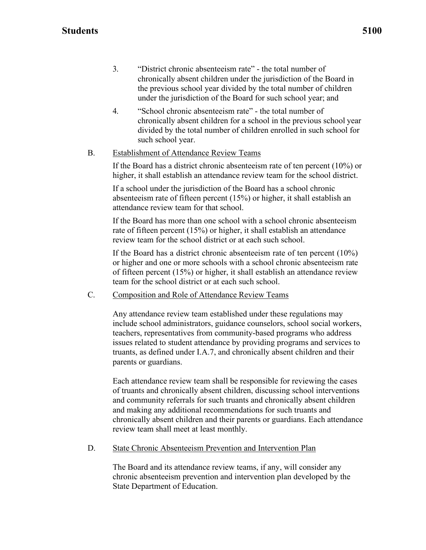- under the jurisdiction of the Board for such school year; and 3. "District chronic absenteeism rate" - the total number of chronically absent children under the jurisdiction of the Board in the previous school year divided by the total number of children
- 4. "School chronic absenteeism rate" the total number of chronically absent children for a school in the previous school year divided by the total number of children enrolled in such school for such school year.

#### B. Establishment of Attendance Review Teams

If the Board has a district chronic absenteeism rate of ten percent (10%) or higher, it shall establish an attendance review team for the school district.

If a school under the jurisdiction of the Board has a school chronic absenteeism rate of fifteen percent (15%) or higher, it shall establish an attendance review team for that school.

If the Board has more than one school with a school chronic absenteeism rate of fifteen percent (15%) or higher, it shall establish an attendance review team for the school district or at each such school.

If the Board has a district chronic absenteeism rate of ten percent (10%) or higher and one or more schools with a school chronic absenteeism rate of fifteen percent (15%) or higher, it shall establish an attendance review team for the school district or at each such school.

C. Composition and Role of Attendance Review Teams

Any attendance review team established under these regulations may include school administrators, guidance counselors, school social workers, teachers, representatives from community-based programs who address issues related to student attendance by providing programs and services to truants, as defined under I.A.7, and chronically absent children and their parents or guardians.

Each attendance review team shall be responsible for reviewing the cases of truants and chronically absent children, discussing school interventions and community referrals for such truants and chronically absent children and making any additional recommendations for such truants and chronically absent children and their parents or guardians. Each attendance review team shall meet at least monthly.

#### D. State Chronic Absenteeism Prevention and Intervention Plan

The Board and its attendance review teams, if any, will consider any chronic absenteeism prevention and intervention plan developed by the State Department of Education.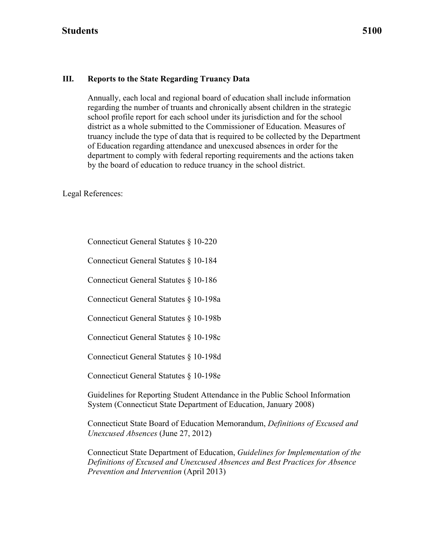#### **III. Reports to the State Regarding Truancy Data**

 of Education regarding attendance and unexcused absences in order for the Annually, each local and regional board of education shall include information regarding the number of truants and chronically absent children in the strategic school profile report for each school under its jurisdiction and for the school district as a whole submitted to the Commissioner of Education. Measures of truancy include the type of data that is required to be collected by the Department department to comply with federal reporting requirements and the actions taken by the board of education to reduce truancy in the school district.

Legal References:

Connecticut General Statutes § 10-220

Connecticut General Statutes § 10-184

Connecticut General Statutes § 10-186

Connecticut General Statutes § 10-198a

Connecticut General Statutes § 10-198b

Connecticut General Statutes § 10-198c

Connecticut General Statutes § 10-198d

Connecticut General Statutes § 10-198e

Guidelines for Reporting Student Attendance in the Public School Information System (Connecticut State Department of Education, January 2008)

Connecticut State Board of Education Memorandum, *Definitions of Excused and Unexcused Absences* (June 27, 2012)

Connecticut State Department of Education, *Guidelines for Implementation of the Definitions of Excused and Unexcused Absences and Best Practices for Absence Prevention and Intervention* (April 2013)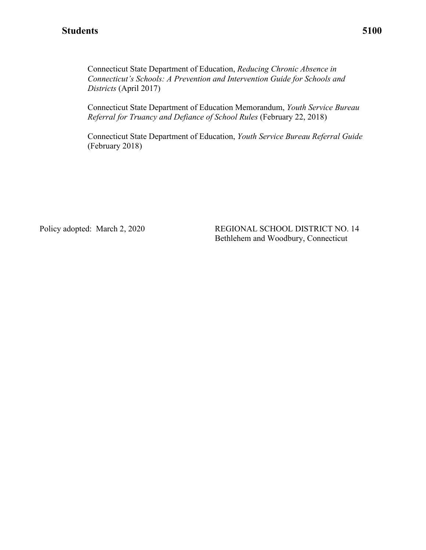Connecticut State Department of Education, *Reducing Chronic Absence in Connecticut's Schools: A Prevention and Intervention Guide for Schools and Districts* (April 2017)

Connecticut State Department of Education Memorandum, *Youth Service Bureau Referral for Truancy and Defiance of School Rules* (February 22, 2018)

 Connecticut State Department of Education, *Youth Service Bureau Referral Guide*  (February 2018)

Policy adopted: March 2, 2020

REGIONAL SCHOOL DISTRICT NO. 14 Bethlehem and Woodbury, Connecticut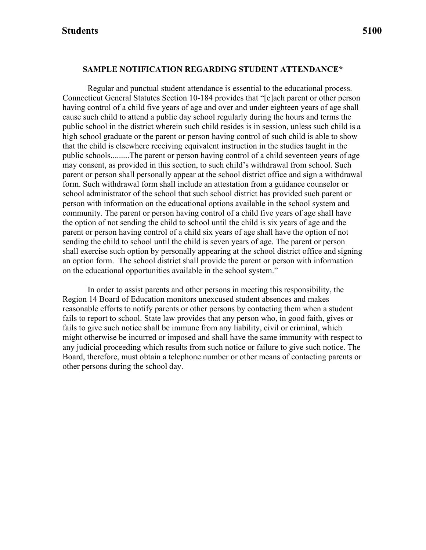#### **SAMPLE NOTIFICATION REGARDING STUDENT ATTENDANCE\***

 public schools.........The parent or person having control of a child seventeen years of age on the educational opportunities available in the school system." Regular and punctual student attendance is essential to the educational process. Connecticut General Statutes Section 10-184 provides that "[e]ach parent or other person having control of a child five years of age and over and under eighteen years of age shall cause such child to attend a public day school regularly during the hours and terms the public school in the district wherein such child resides is in session, unless such child is a high school graduate or the parent or person having control of such child is able to show that the child is elsewhere receiving equivalent instruction in the studies taught in the may consent, as provided in this section, to such child's withdrawal from school. Such parent or person shall personally appear at the school district office and sign a withdrawal form. Such withdrawal form shall include an attestation from a guidance counselor or school administrator of the school that such school district has provided such parent or person with information on the educational options available in the school system and community. The parent or person having control of a child five years of age shall have the option of not sending the child to school until the child is six years of age and the parent or person having control of a child six years of age shall have the option of not sending the child to school until the child is seven years of age. The parent or person shall exercise such option by personally appearing at the school district office and signing an option form. The school district shall provide the parent or person with information

 Region 14 Board of Education monitors unexcused student absences and makes other persons during the school day. In order to assist parents and other persons in meeting this responsibility, the reasonable efforts to notify parents or other persons by contacting them when a student fails to report to school. State law provides that any person who, in good faith, gives or fails to give such notice shall be immune from any liability, civil or criminal, which might otherwise be incurred or imposed and shall have the same immunity with respect to any judicial proceeding which results from such notice or failure to give such notice. The Board, therefore, must obtain a telephone number or other means of contacting parents or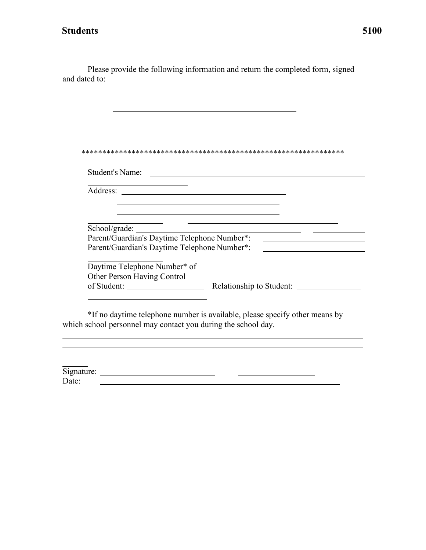Please provide the following information and return the completed form, signed and dated to:

| Student's Name:                                                       | <u> 1980 - Jan Samuel Barbara, político establecera e a seu altre a la propia de la propia de la propia de la pr</u> |
|-----------------------------------------------------------------------|----------------------------------------------------------------------------------------------------------------------|
|                                                                       |                                                                                                                      |
|                                                                       |                                                                                                                      |
|                                                                       |                                                                                                                      |
| School/grade: _______<br>Parent/Guardian's Daytime Telephone Number*: |                                                                                                                      |
| Parent/Guardian's Daytime Telephone Number*:                          |                                                                                                                      |
| Daytime Telephone Number* of                                          |                                                                                                                      |
| Other Person Having Control                                           |                                                                                                                      |
| which school personnel may contact you during the school day.         | *If no daytime telephone number is available, please specify other means by                                          |
|                                                                       |                                                                                                                      |
|                                                                       |                                                                                                                      |

Signature:<br>Date: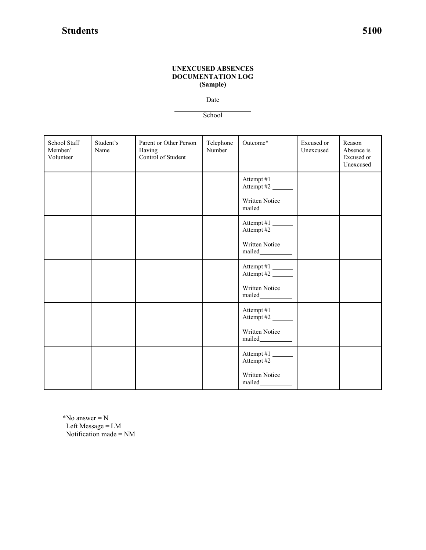#### **UNEXCUSED ABSENCES DOCUMENTATION LOG (Sample)**

Date

**School** 

| School Staff<br>Member/<br>Volunteer | Student's<br>Name | Parent or Other Person<br>Having<br>Control of Student | Telephone<br>Number | Outcome*                                                                                        | Excused or<br>Unexcused | Reason<br>Absence is<br>Excused or<br>Unexcused |
|--------------------------------------|-------------------|--------------------------------------------------------|---------------------|-------------------------------------------------------------------------------------------------|-------------------------|-------------------------------------------------|
|                                      |                   |                                                        |                     | Attempt #1<br>Attempt #2 $\overline{\phantom{1/2}}$                                             |                         |                                                 |
|                                      |                   |                                                        |                     | Written Notice<br>$\label{eq:multi} \begin{minipage}{0.9\linewidth} \textbf{mailed}\textbf{\_}$ |                         |                                                 |
|                                      |                   |                                                        |                     | Attempt #1<br>Attempt #2                                                                        |                         |                                                 |
|                                      |                   |                                                        |                     | Written Notice                                                                                  |                         |                                                 |
|                                      |                   |                                                        |                     | Attempt #1<br>Attempt #2                                                                        |                         |                                                 |
|                                      |                   |                                                        |                     | Written Notice                                                                                  |                         |                                                 |
|                                      |                   |                                                        |                     | Attempt #1<br>Attempt #2 $\overline{\phantom{1}}$                                               |                         |                                                 |
|                                      |                   |                                                        |                     | Written Notice                                                                                  |                         |                                                 |
|                                      |                   |                                                        |                     | Attempt #1<br>Attempt #2                                                                        |                         |                                                 |
|                                      |                   |                                                        |                     | Written Notice<br>mailed___________                                                             |                         |                                                 |
|                                      |                   |                                                        |                     |                                                                                                 |                         |                                                 |
| *No answer $= N$                     |                   |                                                        |                     |                                                                                                 |                         |                                                 |

 Left Message = LM Notification made = NM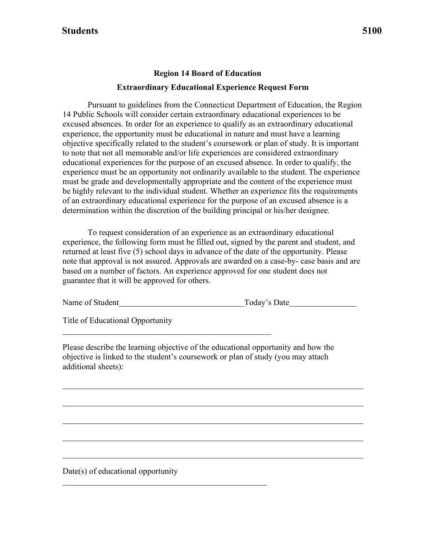# **Region 14 Board of Education Extraordinary Educational Experience Request Form**

 determination within the discretion of the building principal or his/her designee. Pursuant to guidelines from the Connecticut Department of Education, the Region 14 Public Schools will consider certain extraordinary educational experiences to be excused absences. In order for an experience to qualify as an extraordinary educational experience, the opportunity must be educational in nature and must have a learning objective specifically related to the student's coursework or plan of study. It is important to note that not all memorable and/or life experiences are considered extraordinary educational experiences for the purpose of an excused absence. In order to qualify, the experience must be an opportunity not ordinarily available to the student. The experience must be grade and developmentally appropriate and the content of the experience must be highly relevant to the individual student. Whether an experience fits the requirements of an extraordinary educational experience for the purpose of an excused absence is a

 note that approval is not assured. Approvals are awarded on a case-by- case basis and are guarantee that it will be approved for others. To request consideration of an experience as an extraordinary educational experience, the following form must be filled out, signed by the parent and student, and returned at least five (5) school days in advance of the date of the opportunity. Please based on a number of factors. An experience approved for one student does not

Name of Student Today's Date

Title of Educational Opportunity

Please describe the learning objective of the educational opportunity and how the objective is linked to the student's coursework or plan of study (you may attach additional sheets):

Date(s) of educational opportunity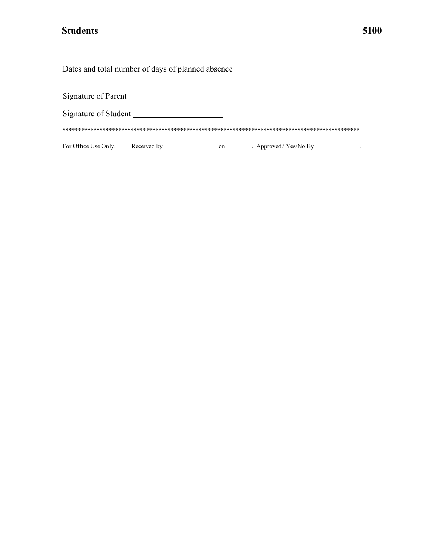Dates and total number of days of planned absence

| Signature of Parent  |             |    |                         |
|----------------------|-------------|----|-------------------------|
| Signature of Student |             |    |                         |
|                      |             |    |                         |
| For Office Use Only. | Received by | on | . Approved? $Yes/No By$ |